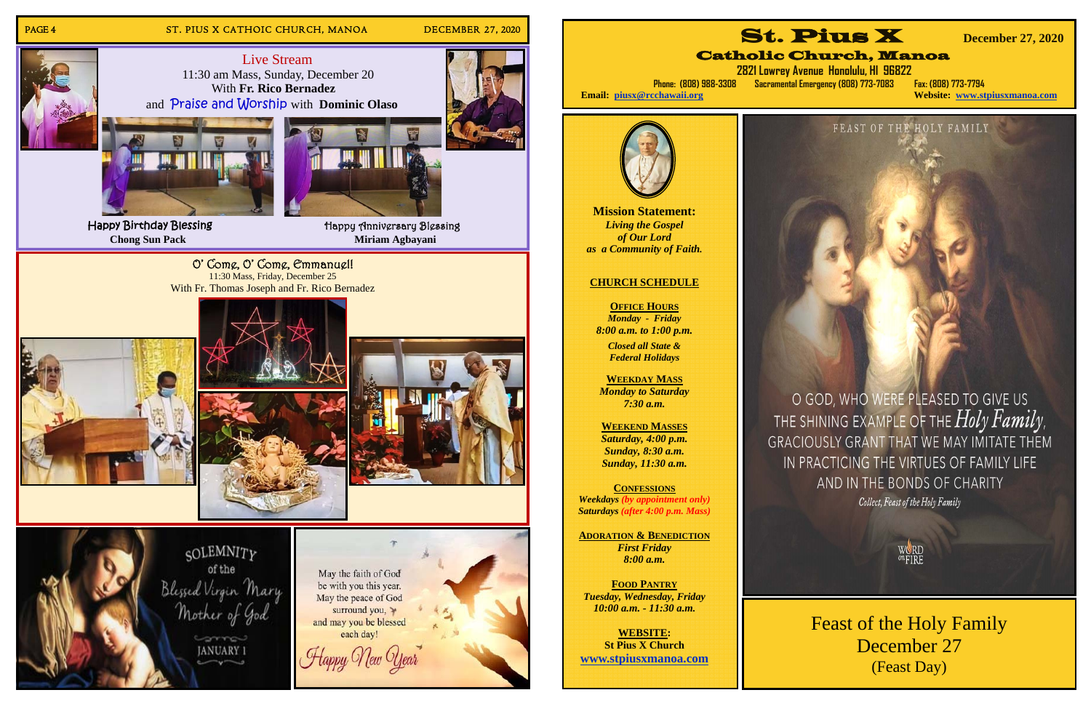

 **2821 Lowrey Avenue Honolulu, HI 96822 Phone: (808) 988-3308 Sacramental Emergency (808) 773-7083 Fax: (808) 773-7794** 

**Website: www.stpiusxmanoa.com** 

FEAST OF THE HOLY FAMILY

Collect, Feast of the Holy Family





O GOD, WHO WERE PLEASED TO GIVE US THE SHINING EXAMPLE OF THE  $Holy$   $Family$  , GRACIOUSLY GRANT THAT WE MAY IMITATE THEM IN PRACTICING THE VIRTUES OF FAMILY LIFE AND IN THE BONDS OF CHARITY

Feast of the Holy Family December 27 (Feast Day)